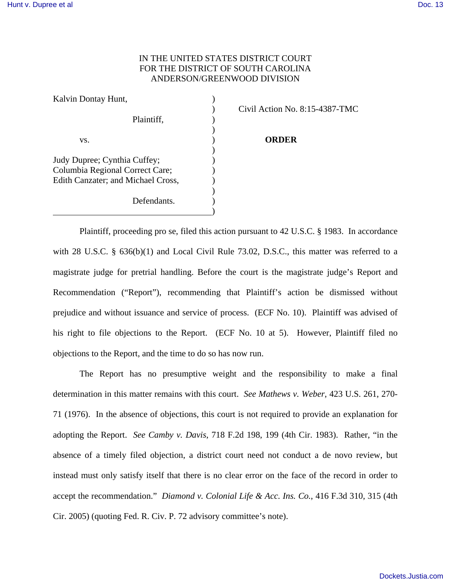## IN THE UNITED STATES DISTRICT COURT FOR THE DISTRICT OF SOUTH CAROLINA ANDERSON/GREENWOOD DIVISION

| Kalvin Dontay Hunt,                                                                                   |  |
|-------------------------------------------------------------------------------------------------------|--|
| Plaintiff,                                                                                            |  |
| VS.                                                                                                   |  |
| Judy Dupree; Cynthia Cuffey;<br>Columbia Regional Correct Care;<br>Edith Canzater; and Michael Cross, |  |
| Defendants.                                                                                           |  |

) Civil Action No. 8:15-4387-TMC

## **ORDER**

Plaintiff, proceeding pro se, filed this action pursuant to 42 U.S.C. § 1983. In accordance with 28 U.S.C. § 636(b)(1) and Local Civil Rule 73.02, D.S.C., this matter was referred to a magistrate judge for pretrial handling. Before the court is the magistrate judge's Report and Recommendation ("Report"), recommending that Plaintiff's action be dismissed without prejudice and without issuance and service of process. (ECF No. 10). Plaintiff was advised of his right to file objections to the Report. (ECF No. 10 at 5). However, Plaintiff filed no objections to the Report, and the time to do so has now run.

 The Report has no presumptive weight and the responsibility to make a final determination in this matter remains with this court. *See Mathews v. Weber*, 423 U.S. 261, 270- 71 (1976). In the absence of objections, this court is not required to provide an explanation for adopting the Report. *See Camby v. Davis*, 718 F.2d 198, 199 (4th Cir. 1983). Rather, "in the absence of a timely filed objection, a district court need not conduct a de novo review, but instead must only satisfy itself that there is no clear error on the face of the record in order to accept the recommendation." *Diamond v. Colonial Life & Acc. Ins. Co.*, 416 F.3d 310, 315 (4th Cir. 2005) (quoting Fed. R. Civ. P. 72 advisory committee's note).